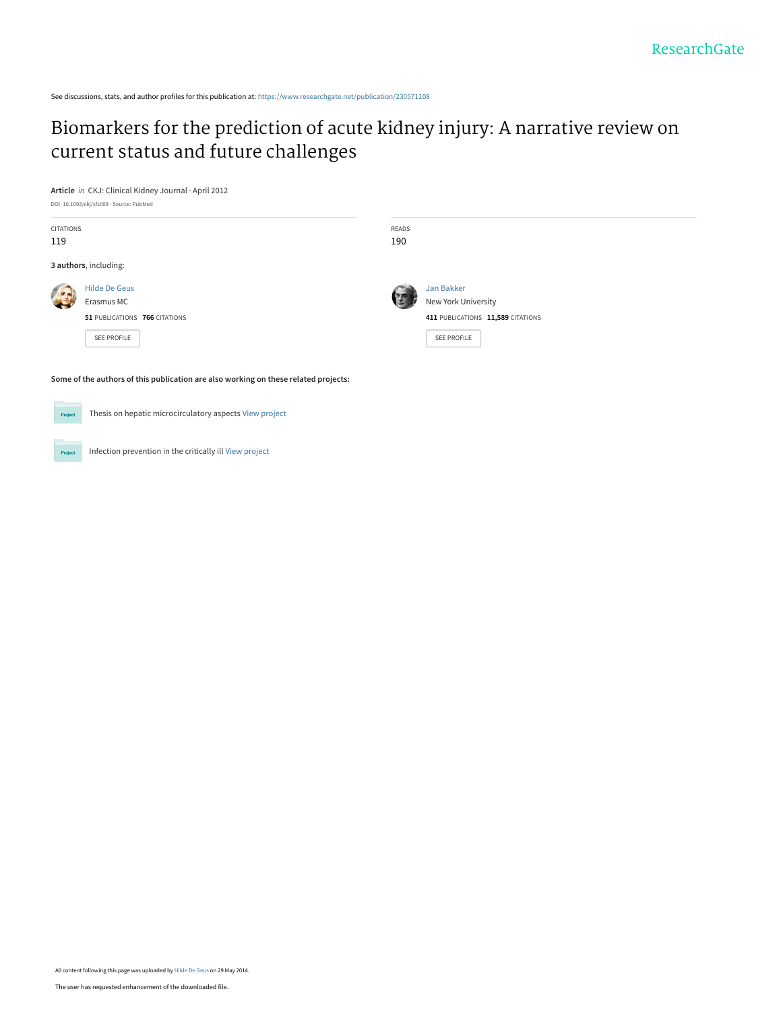See discussions, stats, and author profiles for this publication at: [https://www.researchgate.net/publication/230571108](https://www.researchgate.net/publication/230571108_Biomarkers_for_the_prediction_of_acute_kidney_injury_A_narrative_review_on_current_status_and_future_challenges?enrichId=rgreq-7ad043cafa73bf2b39f8a07fed6dc046-XXX&enrichSource=Y292ZXJQYWdlOzIzMDU3MTEwODtBUzoxMDE5NzU5NjIxNjExNjFAMTQwMTMyNDM3Mjg1OA%3D%3D&el=1_x_2&_esc=publicationCoverPdf)

# [Biomarkers for the prediction of acute kidney injury: A narrative review on](https://www.researchgate.net/publication/230571108_Biomarkers_for_the_prediction_of_acute_kidney_injury_A_narrative_review_on_current_status_and_future_challenges?enrichId=rgreq-7ad043cafa73bf2b39f8a07fed6dc046-XXX&enrichSource=Y292ZXJQYWdlOzIzMDU3MTEwODtBUzoxMDE5NzU5NjIxNjExNjFAMTQwMTMyNDM3Mjg1OA%3D%3D&el=1_x_3&_esc=publicationCoverPdf) current status and future challenges

**Article** in CKJ: Clinical Kidney Journal · April 2012

| DOI: 10.1093/ckj/sfs008 · Source: PubMed |  |
|------------------------------------------|--|
|------------------------------------------|--|

| CITATIONS<br>119 |                                                                                    | READS<br>190 |                                                                                       |
|------------------|------------------------------------------------------------------------------------|--------------|---------------------------------------------------------------------------------------|
|                  | 3 authors, including:                                                              |              |                                                                                       |
|                  | <b>Hilde De Geus</b><br>Erasmus MC<br>51 PUBLICATIONS 766 CITATIONS<br>SEE PROFILE |              | Jan Bakker<br>New York University<br>411 PUBLICATIONS 11,589 CITATIONS<br>SEE PROFILE |

**Some of the authors of this publication are also working on these related projects:**

```
Project
```
Thesis on hepatic microcirculatory aspects [View project](https://www.researchgate.net/project/Thesis-on-hepatic-microcirculatory-aspects?enrichId=rgreq-7ad043cafa73bf2b39f8a07fed6dc046-XXX&enrichSource=Y292ZXJQYWdlOzIzMDU3MTEwODtBUzoxMDE5NzU5NjIxNjExNjFAMTQwMTMyNDM3Mjg1OA%3D%3D&el=1_x_9&_esc=publicationCoverPdf)

Infection prevention in the critically ill [View project](https://www.researchgate.net/project/Infection-prevention-in-the-critically-ill?enrichId=rgreq-7ad043cafa73bf2b39f8a07fed6dc046-XXX&enrichSource=Y292ZXJQYWdlOzIzMDU3MTEwODtBUzoxMDE5NzU5NjIxNjExNjFAMTQwMTMyNDM3Mjg1OA%3D%3D&el=1_x_9&_esc=publicationCoverPdf) Project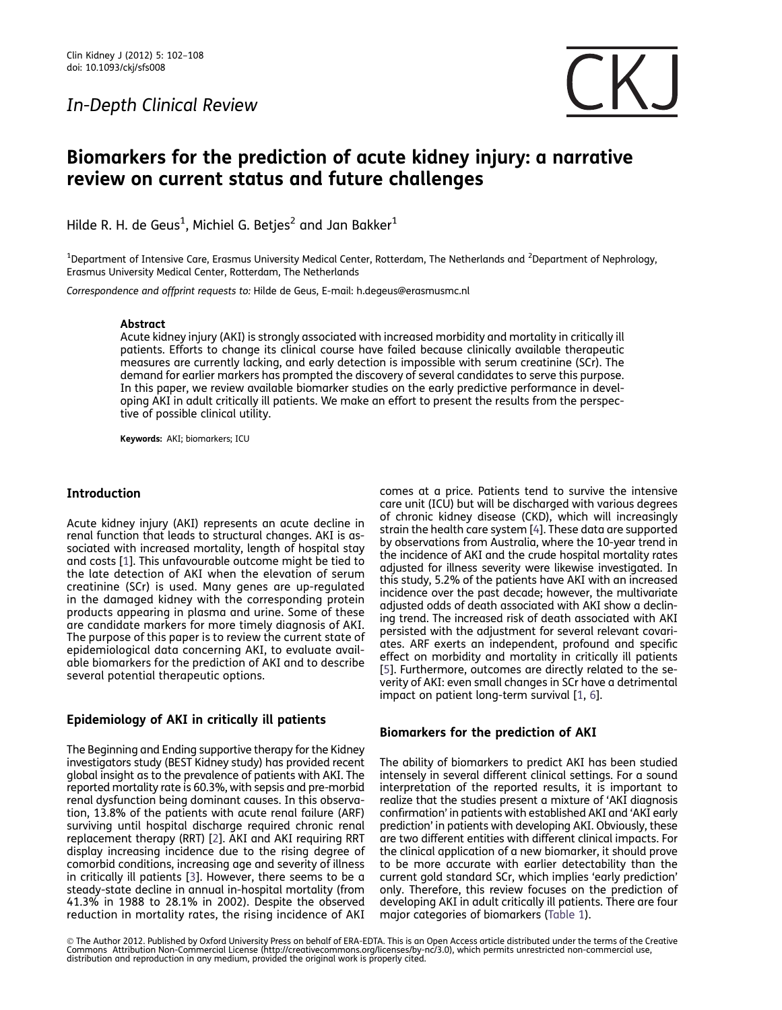### In-Depth Clinical Review



## Biomarkers for the prediction of acute kidney injury: a narrative review on current status and future challenges

Hilde R. H. de Geus $^1$ , Michiel G. Betjes $^2$  and Jan Bakker $^1$ 

<sup>1</sup>Department of Intensive Care, Erasmus University Medical Center, Rotterdam, The Netherlands and <sup>2</sup>Department of Nephrology, Erasmus University Medical Center, Rotterdam, The Netherlands

Correspondence and offprint requests to: Hilde de Geus, E-mail: h.degeus@erasmusmc.nl

#### Abstract

Acute kidney injury (AKI) is strongly associated with increased morbidity and mortality in critically ill patients. Efforts to change its clinical course have failed because clinically available therapeutic measures are currently lacking, and early detection is impossible with serum creatinine (SCr). The demand for earlier markers has prompted the discovery of several candidates to serve this purpose. In this paper, we review available biomarker studies on the early predictive performance in developing AKI in adult critically ill patients. We make an effort to present the results from the perspective of possible clinical utility.

Keywords: AKI; biomarkers; ICU

#### Introduction

Acute kidney injury (AKI) represents an acute decline in renal function that leads to structural changes. AKI is associated with increased mortality, length of hospital stay and costs [\[1](#page-5-0)]. This unfavourable outcome might be tied to the late detection of AKI when the elevation of serum creatinine (SCr) is used. Many genes are up-regulated in the damaged kidney with the corresponding protein products appearing in plasma and urine. Some of these are candidate markers for more timely diagnosis of AKI. The purpose of this paper is to review the current state of epidemiological data concerning AKI, to evaluate available biomarkers for the prediction of AKI and to describe several potential therapeutic options.

#### Epidemiology of AKI in critically ill patients

The Beginning and Ending supportive therapy for the Kidney investigators study (BEST Kidney study) has provided recent global insight as to the prevalence of patients with AKI. The reported mortality rate is 60.3%, with sepsis and pre-morbid renal dysfunction being dominant causes. In this observation, 13.8% of the patients with acute renal failure (ARF) surviving until hospital discharge required chronic renal replacement therapy (RRT) [\[2](#page-5-0)]. AKI and AKI requiring RRT display increasing incidence due to the rising degree of comorbid conditions, increasing age and severity of illness in critically ill patients [\[3](#page-5-0)]. However, there seems to be a steady-state decline in annual in-hospital mortality (from 41.3% in 1988 to 28.1% in 2002). Despite the observed reduction in mortality rates, the rising incidence of AKI

comes at a price. Patients tend to survive the intensive care unit (ICU) but will be discharged with various degrees of chronic kidney disease (CKD), which will increasingly strain the health care system [\[4](#page-5-0)]. These data are supported by observations from Australia, where the 10-year trend in the incidence of AKI and the crude hospital mortality rates adjusted for illness severity were likewise investigated. In this study, 5.2% of the patients have AKI with an increased incidence over the past decade; however, the multivariate adjusted odds of death associated with AKI show a declining trend. The increased risk of death associated with AKI persisted with the adjustment for several relevant covariates. ARF exerts an independent, profound and specific effect on morbidity and mortality in critically ill patients [\[5](#page-5-0)]. Furthermore, outcomes are directly related to the severity of AKI: even small changes in SCr have a detrimental impact on patient long-term survival [[1,](#page-5-0) [6\]](#page-5-0).

#### Biomarkers for the prediction of AKI

The ability of biomarkers to predict AKI has been studied intensely in several different clinical settings. For a sound interpretation of the reported results, it is important to realize that the studies present a mixture of 'AKI diagnosis confirmation' in patients with established AKI and 'AKI early prediction' in patients with developing AKI. Obviously, these are two different entities with different clinical impacts. For the clinical application of a new biomarker, it should prove to be more accurate with earlier detectability than the current gold standard SCr, which implies 'early prediction' only. Therefore, this review focuses on the prediction of developing AKI in adult critically ill patients. There are four major categories of biomarkers [\(Table 1\)](#page-2-0).

© The Author 2012. Published by Oxford University Press on behalf of ERA-EDTA. This is an Open Access article distributed under the terms of the Creative<br>Commons Attribution Non-Commercial License (http://creativecommons.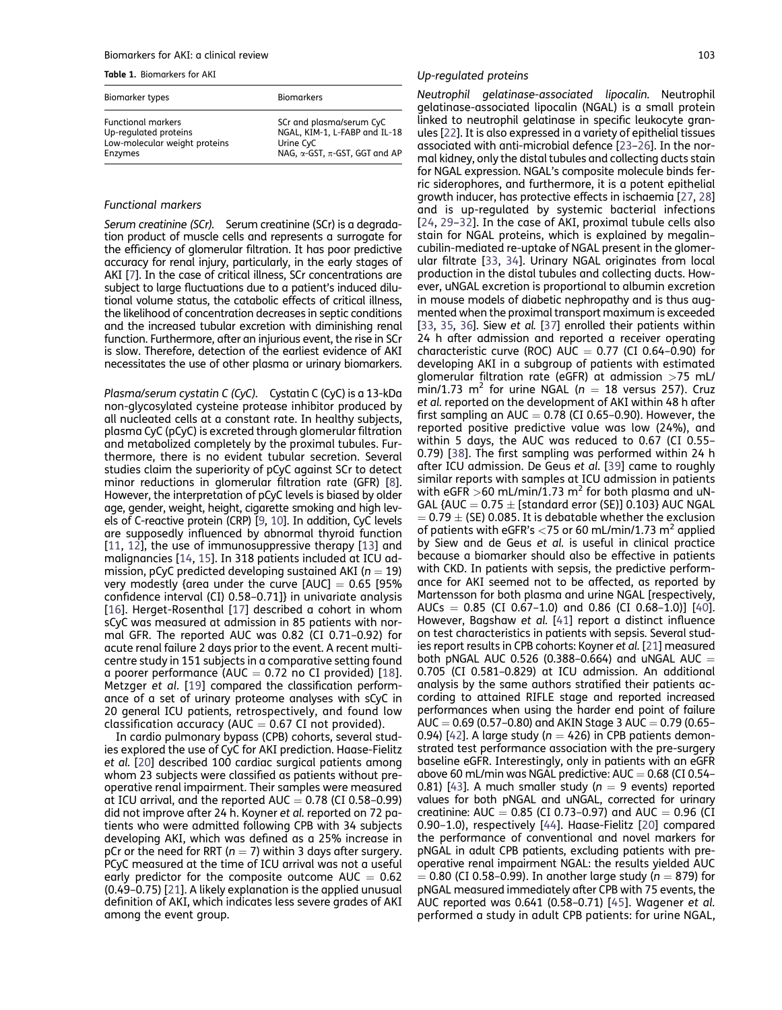#### <span id="page-2-0"></span>Biomarkers for AKI: a clinical review 103

Table 1. Biomarkers for AKI

| Biomarker types               | <b>Biomarkers</b>                          |
|-------------------------------|--------------------------------------------|
| <b>Functional markers</b>     | SCr and plasma/serum CyC                   |
| Up-regulated proteins         | NGAL, KIM-1, L-FABP and IL-18              |
| Low-molecular weight proteins | Urine CyC                                  |
| Enzymes                       | NAG, $\alpha$ -GST, $\pi$ -GST, GGT and AP |

#### Functional markers

Serum creatinine (SCr). Serum creatinine (SCr) is a degradation product of muscle cells and represents a surrogate for the efficiency of glomerular filtration. It has poor predictive accuracy for renal injury, particularly, in the early stages of AKI [\[7\]](#page-6-0). In the case of critical illness, SCr concentrations are subject to large fluctuations due to a patient's induced dilutional volume status, the catabolic effects of critical illness, the likelihood of concentration decreases in septic conditions and the increased tubular excretion with diminishing renal function. Furthermore, after an injurious event, the rise in SCr is slow. Therefore, detection of the earliest evidence of AKI necessitates the use of other plasma or urinary biomarkers.

Plasma/serum cystatin C (CyC). Cystatin C (CyC) is a 13-kDa non-glycosylated cysteine protease inhibitor produced by all nucleated cells at a constant rate. In healthy subjects, plasma CyC (pCyC) is excreted through glomerular filtration and metabolized completely by the proximal tubules. Furthermore, there is no evident tubular secretion. Several studies claim the superiority of pCyC against SCr to detect minor reductions in glomerular filtration rate (GFR) [[8\]](#page-6-0). However, the interpretation of pCyC levels is biased by older age, gender, weight, height, cigarette smoking and high levels of C-reactive protein (CRP) [\[9](#page-6-0), [10\]](#page-6-0). In addition, CyC levels are supposedly influenced by abnormal thyroid function [[11,](#page-6-0) [12](#page-6-0)], the use of immunosuppressive therapy [\[13](#page-6-0)] and malignancies [\[14,](#page-6-0) [15](#page-6-0)]. In 318 patients included at ICU admission, pCyC predicted developing sustained AKI ( $n = 19$ ) very modestly {area under the curve  $[AUC] = 0.65$  [95% confidence interval (CI) 0.58–0.71]} in univariate analysis [[16\]](#page-6-0). Herget-Rosenthal [[17\]](#page-6-0) described a cohort in whom sCyC was measured at admission in 85 patients with normal GFR. The reported AUC was 0.82 (CI 0.71–0.92) for acute renal failure 2 days prior to the event. A recent multicentre study in 151 subjects in a comparative setting found a poorer performance (AUC  $= 0.72$  no CI provided) [[18\]](#page-6-0). Metzger et al. [[19\]](#page-6-0) compared the classification performance of a set of urinary proteome analyses with sCyC in 20 general ICU patients, retrospectively, and found low classification accuracy (AUC  $= 0.67$  CI not provided).

In cardio pulmonary bypass (CPB) cohorts, several studies explored the use of CyC for AKI prediction. Haase-Fielitz et al. [[20](#page-6-0)] described 100 cardiac surgical patients among whom 23 subjects were classified as patients without preoperative renal impairment. Their samples were measured at ICU arrival, and the reported  $AUC = 0.78$  (CI 0.58-0.99) did not improve after 24 h. Koyner et al. reported on 72 patients who were admitted following CPB with 34 subjects developing AKI, which was defined as a 25% increase in pCr or the need for RRT ( $n = 7$ ) within 3 days after surgery. PCyC measured at the time of ICU arrival was not a useful early predictor for the composite outcome  $AUC = 0.62$ (0.49–0.75) [\[21](#page-6-0)]. A likely explanation is the applied unusual definition of AKI, which indicates less severe grades of AKI among the event group.

#### Up-regulated proteins

Neutrophil gelatinase-associated lipocalin. Neutrophil gelatinase-associated lipocalin (NGAL) is a small protein linked to neutrophil gelatinase in specific leukocyte granules [\[22](#page-6-0)]. It is also expressed in a variety of epithelial tissues associated with anti-microbial defence [\[23–26](#page-6-0)]. In the normal kidney, only the distal tubules and collecting ducts stain for NGAL expression. NGAL's composite molecule binds ferric siderophores, and furthermore, it is a potent epithelial growth inducer, has protective effects in ischaemia [[27,](#page-6-0) [28](#page-6-0)] and is up-regulated by systemic bacterial infections [[24](#page-6-0), [29](#page-6-0)–[32\]](#page-6-0). In the case of AKI, proximal tubule cells also stain for NGAL proteins, which is explained by megalin– cubilin-mediated re-uptake of NGAL present in the glomerular filtrate [[33](#page-6-0), [34](#page-6-0)]. Urinary NGAL originates from local production in the distal tubules and collecting ducts. However, uNGAL excretion is proportional to albumin excretion in mouse models of diabetic nephropathy and is thus augmented when the proximal transport maximum is exceeded [[33](#page-6-0), [35,](#page-6-0) [36](#page-6-0)]. Siew et al. [[37\]](#page-6-0) enrolled their patients within 24 h after admission and reported a receiver operating characteristic curve (ROC) AUC  $= 0.77$  (CI 0.64-0.90) for developing AKI in a subgroup of patients with estimated glomerular filtration rate (eGFR) at admission >75 mL/ min/1.73 m<sup>2</sup> for urine NGAL ( $n = 18$  versus 257). Cruz et al. reported on the development of AKI within 48 h after first sampling an AUC  $= 0.78$  (CI 0.65-0.90). However, the reported positive predictive value was low (24%), and within 5 days, the AUC was reduced to 0.67 (CI 0.55– 0.79) [[38\]](#page-6-0). The first sampling was performed within 24 h after ICU admission. De Geus et al. [[39](#page-6-0)] came to roughly similar reports with samples at ICU admission in patients with eGFR >60 mL/min/1.73 m<sup>2</sup> for both plasma and uN-GAL {AUC  $= 0.75 \pm$  [standard error (SE)] 0.103} AUC NGAL  $= 0.79 \pm$  (SE) 0.085. It is debatable whether the exclusion of patients with eGFR's  $<$ 75 or 60 mL/min/1.73 m<sup>2</sup> applied by Siew and de Geus et al. is useful in clinical practice because a biomarker should also be effective in patients with CKD. In patients with sepsis, the predictive performance for AKI seemed not to be affected, as reported by Martensson for both plasma and urine NGAL [respectively, AUCs  $= 0.85$  (CI 0.67–1.0) and 0.86 (CI 0.68–1.0)] [[40\]](#page-6-0). However, Bagshaw et al. [[41\]](#page-6-0) report a distinct influence on test characteristics in patients with sepsis. Several studies report results in CPB cohorts: Koyner et al. [[21\]](#page-6-0) measured both pNGAL AUC 0.526 (0.388-0.664) and uNGAL AUC  $=$ 0.705 (CI 0.581–0.829) at ICU admission. An additional analysis by the same authors stratified their patients according to attained RIFLE stage and reported increased performances when using the harder end point of failure AUC  $= 0.69$  (0.57–0.80) and AKIN Stage 3 AUC  $= 0.79$  (0.65– 0.94) [\[42\]](#page-6-0). A large study ( $n = 426$ ) in CPB patients demonstrated test performance association with the pre-surgery baseline eGFR. Interestingly, only in patients with an eGFR above 60 mL/min was NGAL predictive:  $AUC = 0.68$  (CI 0.54– 0.81) [[43\]](#page-6-0). A much smaller study ( $n = 9$  events) reported values for both pNGAL and uNGAL, corrected for urinary creatinine: AUC  $= 0.85$  (CI 0.73–0.97) and AUC  $= 0.96$  (CI 0.90–1.0), respectively [[44\]](#page-6-0). Haase-Fielitz [[20\]](#page-6-0) compared the performance of conventional and novel markers for pNGAL in adult CPB patients, excluding patients with preoperative renal impairment NGAL: the results yielded AUC  $= 0.80$  (CI 0.58–0.99). In another large study (n  $= 879$ ) for pNGAL measured immediately after CPB with 75 events, the AUC reported was 0.641 (0.58–0.71) [[45](#page-6-0)]. Wagener et al. performed a study in adult CPB patients: for urine NGAL,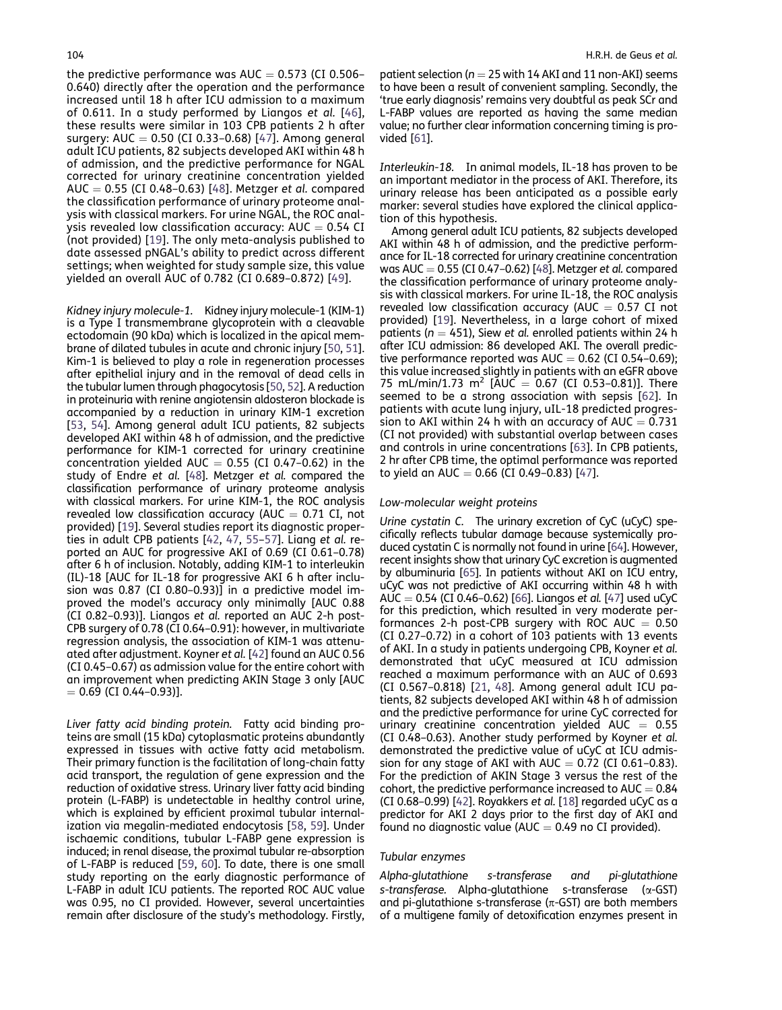the predictive performance was  $AUC = 0.573$  (CI 0.506– 0.640) directly after the operation and the performance increased until 18 h after ICU admission to a maximum of 0.611. In a study performed by Liangos et al. [[46](#page-6-0)], these results were similar in 103 CPB patients 2 h after surgery: AUC =  $0.50$  (CI 0.33-0.68) [[47](#page-6-0)]. Among general adult ICU patients, 82 subjects developed AKI within 48 h of admission, and the predictive performance for NGAL corrected for urinary creatinine concentration yielded AUC  $= 0.55$  (CI 0.48-0.63) [\[48\]](#page-7-0). Metzger et al. compared the classification performance of urinary proteome analysis with classical markers. For urine NGAL, the ROC analysis revealed low classification accuracy:  $AUC = 0.54 CI$ (not provided) [[19](#page-6-0)]. The only meta-analysis published to date assessed pNGAL's ability to predict across different settings; when weighted for study sample size, this value yielded an overall AUC of 0.782 (CI 0.689–0.872) [[49\]](#page-7-0).

Kidney injury molecule-1. Kidney injury molecule-1 (KIM-1) is a Type I transmembrane glycoprotein with a cleavable ectodomain (90 kDa) which is localized in the apical membrane of dilated tubules in acute and chronic injury [\[50](#page-7-0), [51\]](#page-7-0). Kim-1 is believed to play a role in regeneration processes after epithelial injury and in the removal of dead cells in the tubular lumen through phagocytosis [\[50,](#page-7-0) [52\]](#page-7-0). A reduction in proteinuria with renine angiotensin aldosteron blockade is accompanied by a reduction in urinary KIM-1 excretion [\[53](#page-7-0), [54](#page-7-0)]. Among general adult ICU patients, 82 subjects developed AKI within 48 h of admission, and the predictive performance for KIM-1 corrected for urinary creatinine concentration yielded AUC  $= 0.55$  (CI 0.47–0.62) in the study of Endre et al. [\[48](#page-7-0)]. Metzger et al. compared the classification performance of urinary proteome analysis with classical markers. For urine KIM-1, the ROC analysis revealed low classification accuracy (AUC  $= 0.71$  CI, not provided) [\[19](#page-6-0)]. Several studies report its diagnostic properties in adult CPB patients [[42,](#page-6-0) [47](#page-6-0), [55–57](#page-7-0)]. Liang et al. reported an AUC for progressive AKI of 0.69 (CI 0.61–0.78) after 6 h of inclusion. Notably, adding KIM-1 to interleukin (IL)-18 [AUC for IL-18 for progressive AKI 6 h after inclusion was 0.87 (CI 0.80–0.93)] in a predictive model improved the model's accuracy only minimally [AUC 0.88 (CI 0.82–0.93)]. Liangos et al. reported an AUC 2-h post-CPB surgery of 0.78 (CI 0.64–0.91): however, in multivariate regression analysis, the association of KIM-1 was attenuated after adjustment. Koyner et al. [\[42](#page-6-0)] found an AUC 0.56 (CI 0.45–0.67) as admission value for the entire cohort with an improvement when predicting AKIN Stage 3 only [AUC  $= 0.69$  (CI 0.44–0.93)].

Liver fatty acid binding protein. Fatty acid binding proteins are small (15 kDa) cytoplasmatic proteins abundantly expressed in tissues with active fatty acid metabolism. Their primary function is the facilitation of long-chain fatty acid transport, the regulation of gene expression and the reduction of oxidative stress. Urinary liver fatty acid binding protein (L-FABP) is undetectable in healthy control urine, which is explained by efficient proximal tubular internalization via megalin-mediated endocytosis [[58,](#page-7-0) [59\]](#page-7-0). Under ischaemic conditions, tubular L-FABP gene expression is induced; in renal disease, the proximal tubular re-absorption of L-FABP is reduced [\[59](#page-7-0), [60\]](#page-7-0). To date, there is one small study reporting on the early diagnostic performance of L-FABP in adult ICU patients. The reported ROC AUC value was 0.95, no CI provided. However, several uncertainties remain after disclosure of the study's methodology. Firstly,

patient selection ( $n = 25$  with 14 AKI and 11 non-AKI) seems to have been a result of convenient sampling. Secondly, the 'true early diagnosis' remains very doubtful as peak SCr and L-FABP values are reported as having the same median value; no further clear information concerning timing is provided [\[61](#page-7-0)].

Interleukin-18. In animal models, IL-18 has proven to be an important mediator in the process of AKI. Therefore, its urinary release has been anticipated as a possible early marker: several studies have explored the clinical application of this hypothesis.

Among general adult ICU patients, 82 subjects developed AKI within 48 h of admission, and the predictive performance for IL-18 corrected for urinary creatinine concentration was AUC =  $0.55$  (CI 0.47-0.62) [[48](#page-7-0)]. Metzger et al. compared the classification performance of urinary proteome analysis with classical markers. For urine IL-18, the ROC analysis revealed low classification accuracy (AUC  $= 0.57$  CI not provided) [\[19](#page-6-0)]. Nevertheless, in a large cohort of mixed patients ( $n = 451$ ), Siew et al. enrolled patients within 24 h after ICU admission: 86 developed AKI. The overall predictive performance reported was  $AUC = 0.62$  (CI 0.54-0.69); this value increased slightly in patients with an eGFR above 75 mL/min/1.73 m<sup>2</sup> [AUC = 0.67 (CI 0.53-0.81)]. There seemed to be a strong association with sepsis [[62\]](#page-7-0). In patients with acute lung injury, uIL-18 predicted progression to AKI within 24 h with an accuracy of AUC  $= 0.731$ (CI not provided) with substantial overlap between cases and controls in urine concentrations [\[63](#page-7-0)]. In CPB patients, 2 hr after CPB time, the optimal performance was reported to yield an AUC  $= 0.66$  (CI 0.49–0.83) [[47\]](#page-6-0).

#### Low-molecular weight proteins

Urine cystatin C. The urinary excretion of CyC (uCyC) specifically reflects tubular damage because systemically produced cystatin C is normally not found in urine [\[64](#page-7-0)]. However, recent insights show that urinary CyC excretion is augmented by albuminuria [\[65](#page-7-0)]. In patients without AKI on ICU entry, uCyC was not predictive of AKI occurring within 48 h with AUC  $= 0.54$  (CI 0.46–0.62) [\[66\]](#page-7-0). Liangos et al. [\[47\]](#page-6-0) used uCyC for this prediction, which resulted in very moderate performances 2-h post-CPB surgery with ROC AUC  $= 0.50$ (CI 0.27–0.72) in a cohort of 103 patients with 13 events of AKI. In a study in patients undergoing CPB, Koyner et al. demonstrated that uCyC measured at ICU admission reached a maximum performance with an AUC of 0.693 (CI 0.567–0.818) [[21,](#page-6-0) [48\]](#page-7-0). Among general adult ICU patients, 82 subjects developed AKI within 48 h of admission and the predictive performance for urine CyC corrected for urinary creatinine concentration yielded  $AUC = 0.55$ (CI 0.48–0.63). Another study performed by Koyner et al. demonstrated the predictive value of uCyC at ICU admission for any stage of AKI with AUC  $= 0.72$  (CI 0.61-0.83). For the prediction of AKIN Stage 3 versus the rest of the cohort, the predictive performance increased to  $AUC = 0.84$ (CI 0.68–0.99) [\[42\]](#page-6-0). Royakkers et al. [\[18\]](#page-6-0) regarded uCyC as a predictor for AKI 2 days prior to the first day of AKI and found no diagnostic value (AUC  $= 0.49$  no CI provided).

#### Tubular enzymes

Alpha-glutathione s-transferase and pi-glutathione  $s$ -transferase. Alpha-glutathione s-transferase ( $\alpha$ -GST) and pi-glutathione s-transferase ( $\pi$ -GST) are both members of a multigene family of detoxification enzymes present in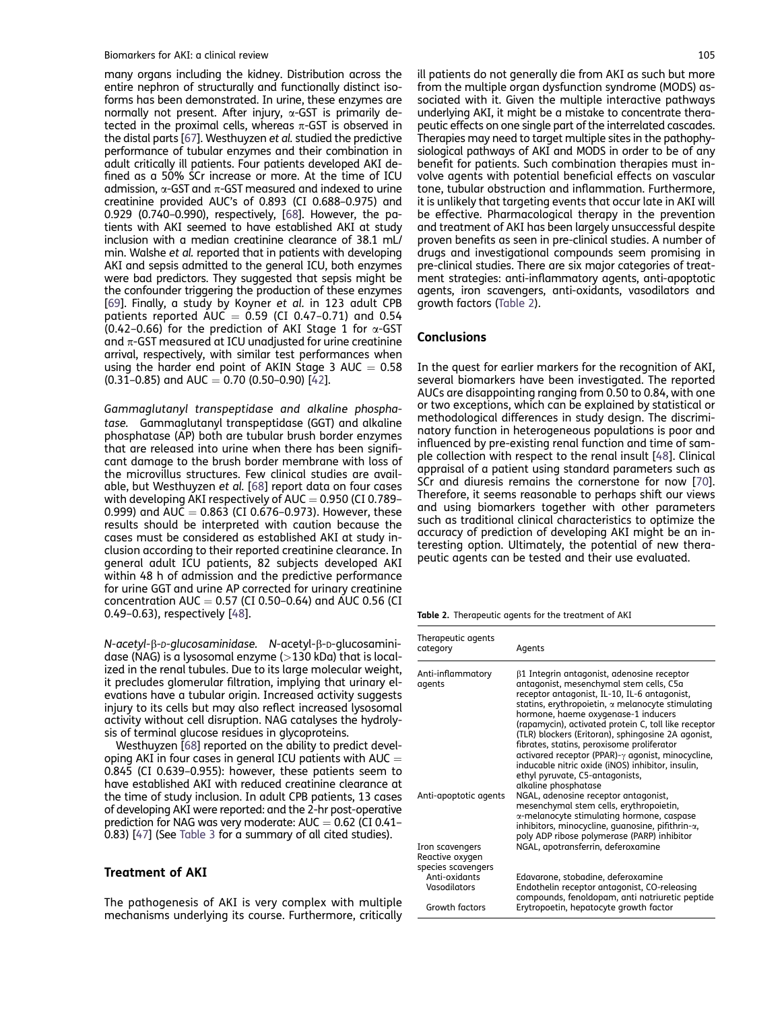many organs including the kidney. Distribution across the entire nephron of structurally and functionally distinct isoforms has been demonstrated. In urine, these enzymes are normally not present. After injury,  $\alpha$ -GST is primarily detected in the proximal cells, whereas  $\pi$ -GST is observed in the distal parts [\[67](#page-7-0)]. Westhuyzen et al. studied the predictive performance of tubular enzymes and their combination in adult critically ill patients. Four patients developed AKI defined as a 50% SCr increase or more. At the time of ICU admission,  $\alpha$ -GST and  $\pi$ -GST measured and indexed to urine creatinine provided AUC's of 0.893 (CI 0.688–0.975) and 0.929 (0.740–0.990), respectively, [[68](#page-7-0)]. However, the patients with AKI seemed to have established AKI at study inclusion with a median creatinine clearance of 38.1 mL/ min. Walshe et al. reported that in patients with developing AKI and sepsis admitted to the general ICU, both enzymes were bad predictors. They suggested that sepsis might be the confounder triggering the production of these enzymes [\[69](#page-7-0)]. Finally, a study by Koyner et al. in 123 adult CPB patients reported AUC  $=$  0.59 (CI 0.47–0.71) and 0.54 (0.42–0.66) for the prediction of AKI Stage 1 for  $\alpha$ -GST and  $\pi$ -GST measured at ICU unadjusted for urine creatinine arrival, respectively, with similar test performances when using the harder end point of AKIN Stage 3 AUC  $= 0.58$  $(0.31-0.85)$  and AUC = 0.70 (0.50-0.90) [\[42\]](#page-6-0).

Gammaglutanyl transpeptidase and alkaline phosphatase. Gammaglutanyl transpeptidase (GGT) and alkaline phosphatase (AP) both are tubular brush border enzymes that are released into urine when there has been significant damage to the brush border membrane with loss of the microvillus structures. Few clinical studies are available, but Westhuyzen et al. [[68\]](#page-7-0) report data on four cases with developing AKI respectively of AUC  $=$  0.950 (CI 0.789– 0.999) and  $\overline{AUC} = 0.863$  (CI 0.676–0.973). However, these results should be interpreted with caution because the cases must be considered as established AKI at study inclusion according to their reported creatinine clearance. In general adult ICU patients, 82 subjects developed AKI within 48 h of admission and the predictive performance for urine GGT and urine AP corrected for urinary creatinine concentration AUC  $=$  0.57 (CI 0.50–0.64) and AUC 0.56 (CI 0.49–0.63), respectively [[48\]](#page-7-0).

N-acetyl-β-*D-glucosaminidase*. N-acetyl-β-D-glucosaminidase (NAG) is a lysosomal enzyme  $(>130$  kDa) that is localized in the renal tubules. Due to its large molecular weight, it precludes glomerular filtration, implying that urinary elevations have a tubular origin. Increased activity suggests injury to its cells but may also reflect increased lysosomal activity without cell disruption. NAG catalyses the hydrolysis of terminal glucose residues in glycoproteins.

Westhuyzen [\[68](#page-7-0)] reported on the ability to predict developing AKI in four cases in general ICU patients with AUC  $=$ 0.845 (CI 0.639–0.955): however, these patients seem to have established AKI with reduced creatinine clearance at the time of study inclusion. In adult CPB patients, 13 cases of developing AKI were reported: and the 2-hr post-operative prediction for NAG was very moderate:  $AUC = 0.62$  (CI 0.41-0.83) [\[47](#page-6-0)] (See [Table 3](#page-5-0) for a summary of all cited studies).

#### Treatment of AKI

The pathogenesis of AKI is very complex with multiple mechanisms underlying its course. Furthermore, critically ill patients do not generally die from AKI as such but more from the multiple organ dysfunction syndrome (MODS) associated with it. Given the multiple interactive pathways underlying AKI, it might be a mistake to concentrate therapeutic effects on one single part of the interrelated cascades. Therapies may need to target multiple sites in the pathophysiological pathways of AKI and MODS in order to be of any benefit for patients. Such combination therapies must involve agents with potential beneficial effects on vascular tone, tubular obstruction and inflammation. Furthermore, it is unlikely that targeting events that occur late in AKI will be effective. Pharmacological therapy in the prevention and treatment of AKI has been largely unsuccessful despite proven benefits as seen in pre-clinical studies. A number of drugs and investigational compounds seem promising in pre-clinical studies. There are six major categories of treatment strategies: anti-inflammatory agents, anti-apoptotic agents, iron scavengers, anti-oxidants, vasodilators and growth factors (Table 2).

#### **Conclusions**

In the quest for earlier markers for the recognition of AKI, several biomarkers have been investigated. The reported AUCs are disappointing ranging from 0.50 to 0.84, with one or two exceptions, which can be explained by statistical or methodological differences in study design. The discriminatory function in heterogeneous populations is poor and influenced by pre-existing renal function and time of sample collection with respect to the renal insult [[48\]](#page-7-0). Clinical appraisal of a patient using standard parameters such as SCr and diuresis remains the cornerstone for now [[70\]](#page-7-0). Therefore, it seems reasonable to perhaps shift our views and using biomarkers together with other parameters such as traditional clinical characteristics to optimize the accuracy of prediction of developing AKI might be an interesting option. Ultimately, the potential of new therapeutic agents can be tested and their use evaluated.

Table 2. Therapeutic agents for the treatment of AKI

| Therapeutic agents<br>category                           | Agents                                                                                                                                                                                                                                                                                                                                                                                                                                                                                                                                                                                   |
|----------------------------------------------------------|------------------------------------------------------------------------------------------------------------------------------------------------------------------------------------------------------------------------------------------------------------------------------------------------------------------------------------------------------------------------------------------------------------------------------------------------------------------------------------------------------------------------------------------------------------------------------------------|
| Anti-inflammatory<br>agents                              | $\beta$ 1 Integrin antagonist, adenosine receptor<br>antagonist, mesenchymal stem cells, C5a<br>receptor antagonist, IL-10, IL-6 antagonist,<br>statins, erythropoietin, $\alpha$ melanocyte stimulating<br>hormone, haeme oxygenase-1 inducers<br>(rapamycin), activated protein C, toll like receptor<br>(TLR) blockers (Eritoran), sphingosine 2A agonist,<br>fibrates, statins, peroxisome proliferator<br>activared receptor (PPAR)- $\gamma$ agonist, minocycline,<br>inducable nitric oxide (iNOS) inhibitor, insulin,<br>ethyl pyruvate, C5-antagonists,<br>alkaline phosphatase |
| Anti-apoptotic agents                                    | NGAL, adenosine receptor antagonist,<br>mesenchymal stem cells, erythropoietin,<br>$\alpha$ -melanocyte stimulating hormone, caspase<br>inhibitors, minocycline, quanosine, pifithrin-a,<br>poly ADP ribose polymerase (PARP) inhibitor                                                                                                                                                                                                                                                                                                                                                  |
| Iron scavengers<br>Reactive oxygen<br>species scavengers | NGAL, apotransferrin, deferoxamine                                                                                                                                                                                                                                                                                                                                                                                                                                                                                                                                                       |
| Anti-oxidants<br>Vasodilators                            | Edavarone, stobadine, deferoxamine<br>Endothelin receptor antagonist, CO-releasing<br>compounds, fenoldopam, anti natriuretic peptide                                                                                                                                                                                                                                                                                                                                                                                                                                                    |
| Growth factors                                           | Erytropoetin, hepatocyte growth factor                                                                                                                                                                                                                                                                                                                                                                                                                                                                                                                                                   |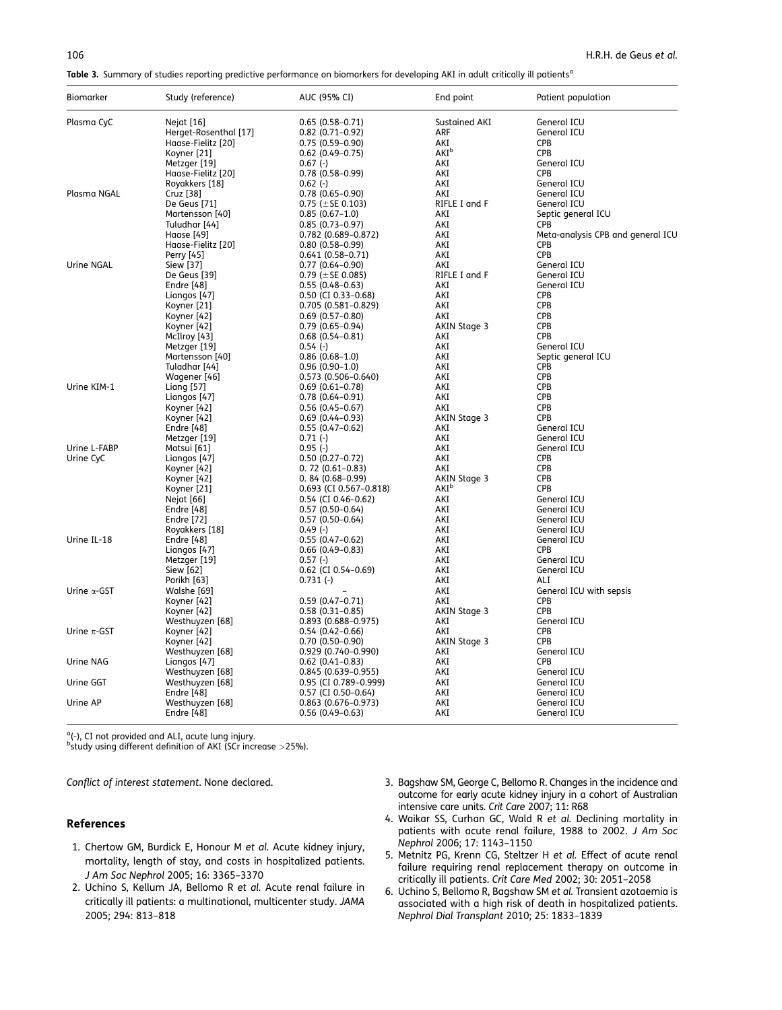<span id="page-5-0"></span>Table 3. Summary of studies reporting predictive performance on biomarkers for developing AKI in adult critically ill patients<sup>a</sup>

| <b>Biomarker</b>    | Study (reference)         | AUC (95% CI)                                    | End point                               | Patient population                |
|---------------------|---------------------------|-------------------------------------------------|-----------------------------------------|-----------------------------------|
| Plasma CyC          | Nejat [16]                | $0.65(0.58 - 0.71)$                             | Sustained AKI                           | General ICU                       |
|                     | Herget-Rosenthal [17]     | $0.82$ (0.71-0.92)                              | ARF                                     | General ICU                       |
|                     | Haase-Fielitz [20]        | $0.75(0.59 - 0.90)$                             | AKI                                     | <b>CPB</b>                        |
|                     | Koyner [21]               | $0.62$ (0.49-0.75)                              | AKI <sup>b</sup>                        | <b>CPB</b>                        |
|                     | Metzger [19]              | $0.67(-)$                                       | AKI                                     | General ICU                       |
|                     | Haase-Fielitz [20]        | $0.78(0.58 - 0.99)$                             | AKI                                     | <b>CPB</b>                        |
| Plasma NGAL         | Royakkers [18]            | $0.62$ (-)                                      | AKI<br>AKI                              | General ICU                       |
|                     | Cruz [38]<br>De Geus [71] | $0.78(0.65 - 0.90)$<br>0.75 ( $\pm$ SE 0.103)   | RIFLE I and F                           | General ICU<br>General ICU        |
|                     | Martensson [40]           | $0.85(0.67-1.0)$                                | AKI                                     | Septic general ICU                |
|                     | Tuludhar [44]             | $0.85(0.73 - 0.97)$                             | AKI                                     | <b>CPB</b>                        |
|                     | Haase [49]                | 0.782 (0.689-0.872)                             | AKI                                     | Meta-analysis CPB and general ICU |
|                     | Haase-Fielitz [20]        | $0.80(0.58 - 0.99)$                             | AKI                                     | <b>CPB</b>                        |
|                     | Perry [45]                | $0.641(0.58-0.71)$                              | AKI                                     | <b>CPB</b>                        |
| Urine NGAL          | Siew [37]                 | $0.77(0.64 - 0.90)$                             | AKI                                     | General ICU                       |
|                     | De Geus [39]              | 0.79 ( $\pm$ SE 0.085)                          | RIFLE I and F                           | General ICU                       |
|                     | Endre [48]                | $0.55(0.48-0.63)$                               | AKI                                     | General ICU                       |
|                     | Liangos [47]              | 0.50 (CI 0.33-0.68)                             | AKI                                     | CPB                               |
|                     | Koyner [21]               | $0.705(0.581 - 0.829)$                          | AKI                                     | <b>CPB</b>                        |
|                     | Koyner [42]               | $0.69(0.57-0.80)$                               | AKI                                     | <b>CPB</b>                        |
|                     | Koyner [42]               | $0.79(0.65 - 0.94)$                             | AKIN Stage 3                            | CPB                               |
|                     | McIlroy [43]              | $0.68(0.54 - 0.81)$                             | AKI                                     | <b>CPB</b>                        |
|                     | Metzger [19]              | $0.54(-)$                                       | AKI                                     | General ICU                       |
|                     | Martensson [40]           | $0.86(0.68 - 1.0)$                              | AKI                                     | Septic general ICU                |
|                     | Tuladhar [44]             | $0.96(0.90-1.0)$                                | AKI                                     | CPB                               |
|                     | Wagener [46]              | $0.573(0.506 - 0.640)$                          | AKI                                     | CPB                               |
| Urine KIM-1         | Liang [57]                | $0.69(0.61 - 0.78)$                             | AKI                                     | <b>CPB</b>                        |
|                     | Liangos [47]              | $0.78(0.64 - 0.91)$                             | AKI                                     | CPB                               |
|                     | Koyner [42]               | $0.56(0.45 - 0.67)$                             | AKI                                     | CPB                               |
|                     | Koyner [42]               | $0.69(0.44 - 0.93)$                             | AKIN Stage 3                            | <b>CPB</b>                        |
|                     | Endre [48]                | $0.55(0.47-0.62)$                               | AKI                                     | General ICU                       |
|                     | Metzger [19]              | $0.71(-)$                                       | AKI                                     | General ICU                       |
| Urine L-FABP        | Matsui [61]               | $0.95(-)$                                       | AKI                                     | General ICU                       |
| Urine CyC           | Liangos [47]              | $0.50(0.27-0.72)$                               | AKI                                     | <b>CPB</b>                        |
|                     | Koyner [42]               | $0.72(0.61-0.83)$                               | AKI                                     | CPB<br>CPB                        |
|                     | Koyner [42]               | $0.84(0.68-0.99)$                               | AKIN Stage 3<br><b>AKI</b> <sup>b</sup> | <b>CPB</b>                        |
|                     | Koyner [21]<br>Nejat [66] | 0.693 (CI 0.567-0.818)<br>$0.54$ (CI 0.46-0.62) | AKI                                     | General ICU                       |
|                     | Endre [48]                | $0.57(0.50-0.64)$                               | AKI                                     | General ICU                       |
|                     | Endre [72]                | $0.57(0.50-0.64)$                               | AKI                                     | General ICU                       |
|                     | Royakkers [18]            | $0.49(-)$                                       | AKI                                     | General ICU                       |
| Urine IL-18         | Endre [48]                | $0.55(0.47-0.62)$                               | AKI                                     | General ICU                       |
|                     | Liangos [47]              | $0.66(0.49 - 0.83)$                             | AKI                                     | CPB                               |
|                     | Metzger [19]              | $0.57(-)$                                       | AKI                                     | General ICU                       |
|                     | Siew [62]                 | $0.62$ (CI $0.54 - 0.69$ )                      | AKI                                     | General ICU                       |
|                     | Parikh [63]               | $0.731(-)$                                      | AKI                                     | ALI                               |
| Urine $\alpha$ -GST | Walshe [69]               |                                                 | AKI                                     | General ICU with sepsis           |
|                     | Koyner [42]               | $0.59(0.47 - 0.71)$                             | AKI                                     | CPB                               |
|                     | Koyner [42]               | $0.58(0.31 - 0.85)$                             | AKIN Stage 3                            | <b>CPB</b>                        |
|                     | Westhuyzen [68]           | 0.893 (0.688-0.975)                             | AKI                                     | General ICU                       |
| Urine $\pi$ -GST    | Koyner [42]               | $0.54(0.42 - 0.66)$                             | AKI                                     | CPB                               |
|                     | Koyner [42]               | $0.70(0.50 - 0.90)$                             | AKIN Stage 3                            | CPB                               |
|                     | Westhuyzen [68]           | 0.929 (0.740-0.990)                             | AKI                                     | General ICU                       |
| Urine NAG           | Liangos [47]              | $0.62$ (0.41-0.83)                              | AKI                                     | <b>CPB</b>                        |
|                     | Westhuyzen [68]           | $0.845(0.639 - 0.955)$                          | AKI                                     | General ICU                       |
| Urine GGT           | Westhuyzen [68]           | 0.95 (CI 0.789-0.999)                           | AKI                                     | General ICU                       |
|                     | Endre [48]                | $0.57$ (CI 0.50-0.64)                           | AKI                                     | General ICU                       |
| Urine AP            | Westhuyzen [68]           | $0.863$ (0.676-0.973)                           | AKI                                     | General ICU                       |
|                     | Endre [48]                | $0.56(0.49-0.63)$                               | AKI                                     | General ICU                       |

<sup>a</sup>(-), CI not provided and ALI, acute lung injury.<br><sup>b</sup>study using different definition of AKI (SCr increase >25%).

Conflict of interest statement. None declared.

#### References

- 1. Chertow GM, Burdick E, Honour M et al. Acute kidney injury, mortality, length of stay, and costs in hospitalized patients. J Am Soc Nephrol 2005; 16: 3365–3370
- 2. Uchino S, Kellum JA, Bellomo R et al. Acute renal failure in critically ill patients: a multinational, multicenter study. JAMA 2005; 294: 813–818
- 3. Bagshaw SM, George C, Bellomo R. Changes in the incidence and outcome for early acute kidney injury in a cohort of Australian intensive care units. Crit Care 2007; 11: R68
- 4. Waikar SS, Curhan GC, Wald R et al. Declining mortality in patients with acute renal failure, 1988 to 2002. J Am Soc Nephrol 2006; 17: 1143–1150
- 5. Metnitz PG, Krenn CG, Steltzer H et al. Effect of acute renal failure requiring renal replacement therapy on outcome in critically ill patients. Crit Care Med 2002; 30: 2051–2058
- 6. Uchino S, Bellomo R, Bagshaw SM et al. Transient azotaemia is associated with a high risk of death in hospitalized patients. Nephrol Dial Transplant 2010; 25: 1833–1839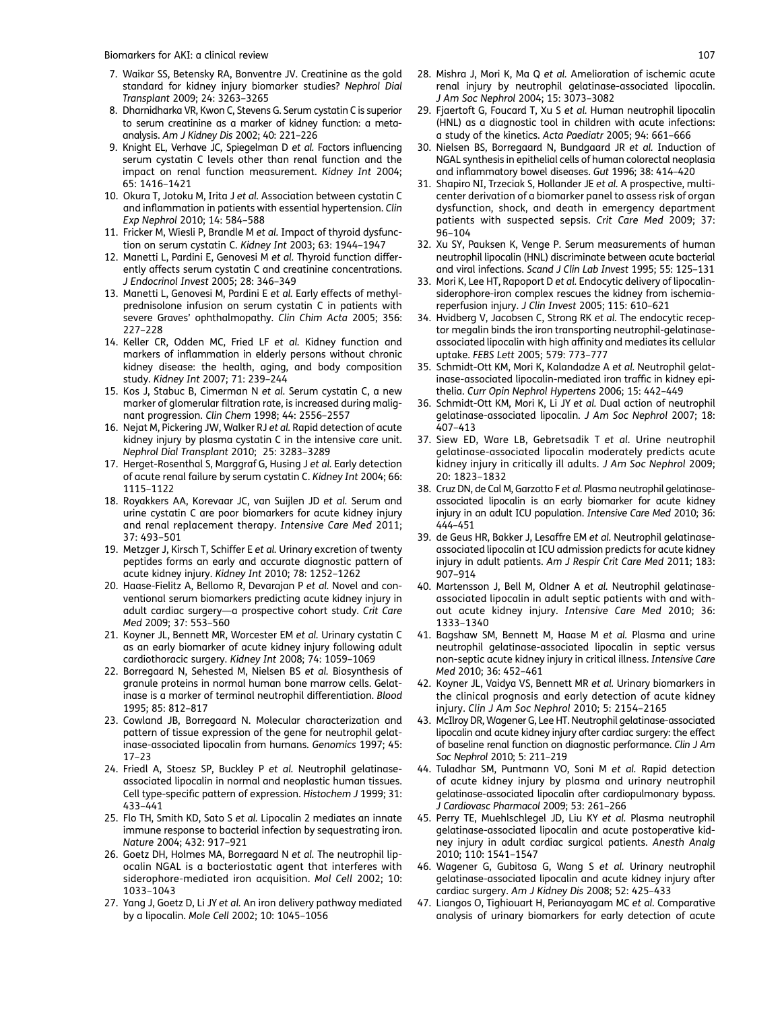- <span id="page-6-0"></span>7. Waikar SS, Betensky RA, Bonventre JV. Creatinine as the gold standard for kidney injury biomarker studies? Nephrol Dial Transplant 2009; 24: 3263–3265
- 8. Dharnidharka VR, Kwon C, Stevens G. Serum cystatin C is superior to serum creatinine as a marker of kidney function: a metaanalysis. Am J Kidney Dis 2002; 40: 221–226
- 9. Knight EL, Verhave JC, Spiegelman D et al. Factors influencing serum cystatin C levels other than renal function and the impact on renal function measurement. Kidney Int 2004; 65: 1416–1421
- 10. Okura T, Jotoku M, Irita J et al. Association between cystatin C and inflammation in patients with essential hypertension. Clin Exp Nephrol 2010; 14: 584–588
- 11. Fricker M, Wiesli P, Brandle M et al. Impact of thyroid dysfunction on serum cystatin C. Kidney Int 2003; 63: 1944–1947
- 12. Manetti L, Pardini E, Genovesi M et al. Thyroid function differently affects serum cystatin C and creatinine concentrations. J Endocrinol Invest 2005; 28: 346–349
- 13. Manetti L, Genovesi M, Pardini E et al. Early effects of methylprednisolone infusion on serum cystatin C in patients with severe Graves' ophthalmopathy. Clin Chim Acta 2005; 356: 227–228
- 14. Keller CR, Odden MC, Fried LF et al. Kidney function and markers of inflammation in elderly persons without chronic kidney disease: the health, aging, and body composition study. Kidney Int 2007; 71: 239–244
- 15. Kos J, Stabuc B, Cimerman N et al. Serum cystatin C, a new marker of glomerular filtration rate, is increased during malignant progression. Clin Chem 1998; 44: 2556–2557
- 16. Nejat M, Pickering JW, Walker RJ et al. Rapid detection of acute kidney injury by plasma cystatin C in the intensive care unit. Nephrol Dial Transplant 2010; 25: 3283–3289
- 17. Herget-Rosenthal S, Marggraf G, Husing J et al. Early detection of acute renal failure by serum cystatin C. Kidney Int 2004; 66: 1115–1122
- 18. Royakkers AA, Korevaar JC, van Suijlen JD et al. Serum and urine cystatin C are poor biomarkers for acute kidney injury and renal replacement therapy. Intensive Care Med 2011; 37: 493–501
- 19. Metzger J, Kirsch T, Schiffer E et al. Urinary excretion of twenty peptides forms an early and accurate diagnostic pattern of acute kidney injury. Kidney Int 2010; 78: 1252–1262
- 20. Haase-Fielitz A, Bellomo R, Devarajan P et al. Novel and conventional serum biomarkers predicting acute kidney injury in adult cardiac surgery—a prospective cohort study. Crit Care Med 2009; 37: 553–560
- 21. Koyner JL, Bennett MR, Worcester EM et al. Urinary cystatin C as an early biomarker of acute kidney injury following adult cardiothoracic surgery. Kidney Int 2008; 74: 1059–1069
- 22. Borregaard N, Sehested M, Nielsen BS et al. Biosynthesis of granule proteins in normal human bone marrow cells. Gelatinase is a marker of terminal neutrophil differentiation. Blood 1995; 85: 812–817
- 23. Cowland JB, Borregaard N. Molecular characterization and pattern of tissue expression of the gene for neutrophil gelatinase-associated lipocalin from humans. Genomics 1997; 45: 17–23
- 24. Friedl A, Stoesz SP, Buckley P et al. Neutrophil gelatinaseassociated lipocalin in normal and neoplastic human tissues. Cell type-specific pattern of expression. Histochem J 1999; 31: 433–441
- 25. Flo TH, Smith KD, Sato S et al. Lipocalin 2 mediates an innate immune response to bacterial infection by sequestrating iron. Nature 2004; 432: 917–921
- 26. Goetz DH, Holmes MA, Borregaard N et al. The neutrophil lipocalin NGAL is a bacteriostatic agent that interferes with siderophore-mediated iron acquisition. Mol Cell 2002; 10: 1033–1043
- 27. Yang J, Goetz D, Li JY et al. An iron delivery pathway mediated by a lipocalin. Mole Cell 2002; 10: 1045–1056
- 28. Mishra J, Mori K, Ma Q et al. Amelioration of ischemic acute renal injury by neutrophil gelatinase-associated lipocalin. J Am Soc Nephrol 2004; 15: 3073–3082
- 29. Fjaertoft G, Foucard T, Xu S et al. Human neutrophil lipocalin (HNL) as a diagnostic tool in children with acute infections: a study of the kinetics. Acta Paediatr 2005; 94: 661–666
- 30. Nielsen BS, Borregaard N, Bundgaard JR et al. Induction of NGAL synthesis in epithelial cells of human colorectal neoplasia and inflammatory bowel diseases. Gut 1996; 38: 414–420
- 31. Shapiro NI, Trzeciak S, Hollander JE et al. A prospective, multicenter derivation of a biomarker panel to assess risk of organ dysfunction, shock, and death in emergency department patients with suspected sepsis. Crit Care Med 2009; 37: 96–104
- 32. Xu SY, Pauksen K, Venge P. Serum measurements of human neutrophil lipocalin (HNL) discriminate between acute bacterial and viral infections. Scand J Clin Lab Invest 1995; 55: 125–131
- 33. Mori K, Lee HT, Rapoport D et al. Endocytic delivery of lipocalinsiderophore-iron complex rescues the kidney from ischemiareperfusion injury. J Clin Invest 2005; 115: 610–621
- 34. Hvidberg V, Jacobsen C, Strong RK et al. The endocytic receptor megalin binds the iron transporting neutrophil-gelatinaseassociated lipocalin with high affinity and mediates its cellular uptake. FEBS Lett 2005; 579: 773–777
- 35. Schmidt-Ott KM, Mori K, Kalandadze A et al. Neutrophil gelatinase-associated lipocalin-mediated iron traffic in kidney epithelia. Curr Opin Nephrol Hypertens 2006; 15: 442–449
- 36. Schmidt-Ott KM, Mori K, Li JY et al. Dual action of neutrophil gelatinase-associated lipocalin. J Am Soc Nephrol 2007; 18: 407–413
- 37. Siew ED, Ware LB, Gebretsadik T et al. Urine neutrophil gelatinase-associated lipocalin moderately predicts acute kidney injury in critically ill adults. J Am Soc Nephrol 2009; 20: 1823–1832
- 38. Cruz DN, de Cal M, Garzotto F et al. Plasma neutrophil gelatinaseassociated lipocalin is an early biomarker for acute kidney injury in an adult ICU population. Intensive Care Med 2010; 36: 444–451
- 39. de Geus HR, Bakker J, Lesaffre EM et al. Neutrophil gelatinaseassociated lipocalin at ICU admission predicts for acute kidney injury in adult patients. Am J Respir Crit Care Med 2011; 183: 907–914
- 40. Martensson J, Bell M, Oldner A et al. Neutrophil gelatinaseassociated lipocalin in adult septic patients with and without acute kidney injury. Intensive Care Med 2010; 36: 1333–1340
- 41. Bagshaw SM, Bennett M, Haase M et al. Plasma and urine neutrophil gelatinase-associated lipocalin in septic versus non-septic acute kidney injury in critical illness. Intensive Care Med 2010; 36: 452–461
- 42. Koyner JL, Vaidya VS, Bennett MR et al. Urinary biomarkers in the clinical prognosis and early detection of acute kidney injury. Clin J Am Soc Nephrol 2010; 5: 2154–2165
- 43. McIlroy DR, Wagener G, Lee HT. Neutrophil gelatinase-associated lipocalin and acute kidney injury after cardiac surgery: the effect of baseline renal function on diagnostic performance. Clin J Am Soc Nephrol 2010; 5: 211–219
- 44. Tuladhar SM, Puntmann VO, Soni M et al. Rapid detection of acute kidney injury by plasma and urinary neutrophil gelatinase-associated lipocalin after cardiopulmonary bypass. J Cardiovasc Pharmacol 2009; 53: 261–266
- 45. Perry TE, Muehlschlegel JD, Liu KY et al. Plasma neutrophil gelatinase-associated lipocalin and acute postoperative kidney injury in adult cardiac surgical patients. Anesth Analg 2010; 110: 1541–1547
- 46. Wagener G, Gubitosa G, Wang S et al. Urinary neutrophil gelatinase-associated lipocalin and acute kidney injury after cardiac surgery. Am J Kidney Dis 2008; 52: 425–433
- 47. Liangos O, Tighiouart H, Perianayagam MC et al. Comparative analysis of urinary biomarkers for early detection of acute